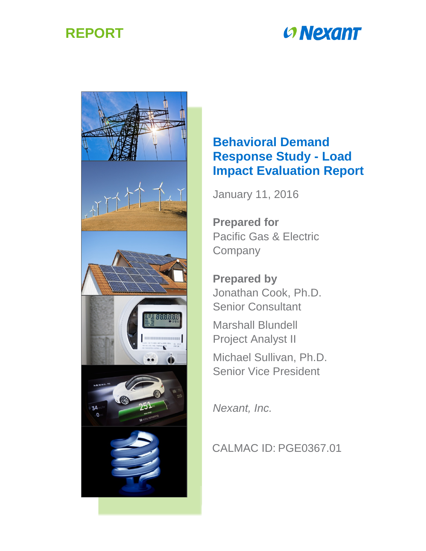

# **CONEXANT**



## **Behavioral Demand Response Study - Load Impact Evaluation Report**

January 11, 2016

**Prepared for** Pacific Gas & Electric **Company** 

**Prepared by** Jonathan Cook, Ph.D. Senior Consultant

Marshall Blundell Project Analyst II

Michael Sullivan, Ph.D. Senior Vice President

*Nexant, Inc.*

## CALMAC ID: PGE0367.01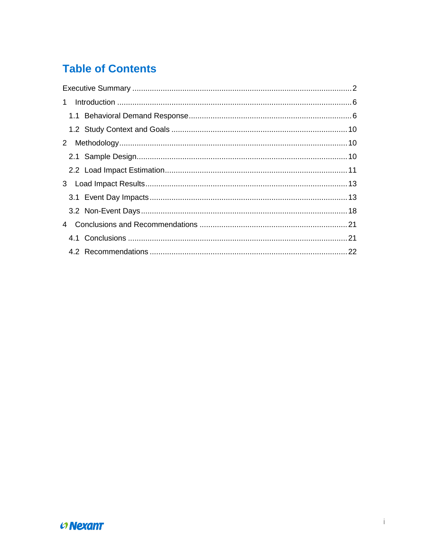## **Table of Contents**

| 1 |  |
|---|--|
|   |  |
|   |  |
|   |  |
|   |  |
|   |  |
|   |  |
|   |  |
|   |  |
|   |  |
|   |  |
|   |  |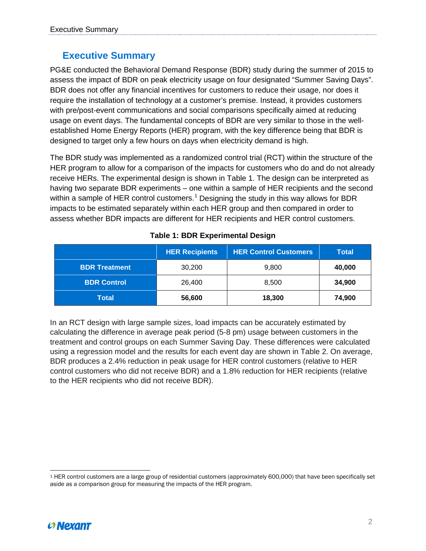#### <span id="page-2-0"></span>**Executive Summary**

PG&E conducted the Behavioral Demand Response (BDR) study during the summer of 2015 to assess the impact of BDR on peak electricity usage on four designated "Summer Saving Days". BDR does not offer any financial incentives for customers to reduce their usage, nor does it require the installation of technology at a customer's premise. Instead, it provides customers with pre/post-event communications and social comparisons specifically aimed at reducing usage on event days. The fundamental concepts of BDR are very similar to those in the wellestablished Home Energy Reports (HER) program, with the key difference being that BDR is designed to target only a few hours on days when electricity demand is high.

The BDR study was implemented as a randomized control trial (RCT) within the structure of the HER program to allow for a comparison of the impacts for customers who do and do not already receive HERs. The experimental design is shown in [Table 1.](#page-2-1) The design can be interpreted as having two separate BDR experiments – one within a sample of HER recipients and the second within a sample of HER control customers.<sup>[1](#page-2-2)</sup> Designing the study in this way allows for BDR impacts to be estimated separately within each HER group and then compared in order to assess whether BDR impacts are different for HER recipients and HER control customers.

<span id="page-2-1"></span>

|                      | <b>HER Recipients</b> | <b>HER Control Customers</b> | <b>Total</b> |
|----------------------|-----------------------|------------------------------|--------------|
| <b>BDR Treatment</b> | 30,200                | 9,800                        | 40,000       |
| <b>BDR Control</b>   | 26.400                | 8,500                        | 34,900       |
| Total                | 56,600                | 18,300                       | 74,900       |

#### **Table 1: BDR Experimental Design**

In an RCT design with large sample sizes, load impacts can be accurately estimated by calculating the difference in average peak period (5-8 pm) usage between customers in the treatment and control groups on each Summer Saving Day. These differences were calculated using a regression model and the results for each event day are shown in [Table 2.](#page-3-0) On average, BDR produces a 2.4% reduction in peak usage for HER control customers (relative to HER control customers who did not receive BDR) and a 1.8% reduction for HER recipients (relative to the HER recipients who did not receive BDR).



<span id="page-2-2"></span><sup>-</sup><sup>1</sup> HER control customers are a large group of residential customers (approximately 600,000) that have been specifically set aside as a comparison group for measuring the impacts of the HER program.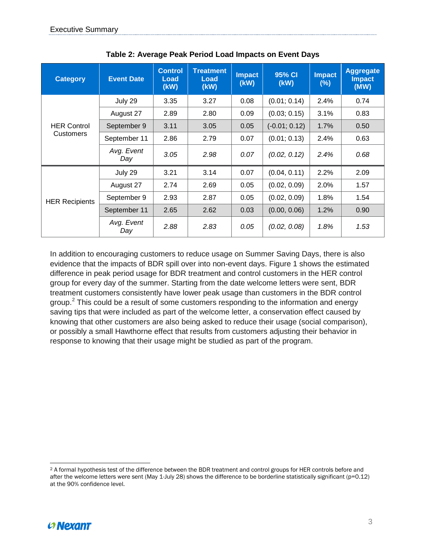<span id="page-3-0"></span>

| <b>Category</b>       | <b>Event Date</b> | <b>Control</b><br>Load<br>(kW) | <b>Treatment</b><br>Load<br>(kW) | <b>Impact</b><br>(kW) | 95% CI<br>(kW)  | <b>Impact</b><br>(%) | <b>Aggregate</b><br><b>Impact</b><br>(MW) |
|-----------------------|-------------------|--------------------------------|----------------------------------|-----------------------|-----------------|----------------------|-------------------------------------------|
|                       | July 29           | 3.35                           | 3.27                             | 0.08                  | (0.01; 0.14)    | 2.4%                 | 0.74                                      |
|                       | August 27         | 2.89                           | 2.80                             | 0.09                  | (0.03; 0.15)    | 3.1%                 | 0.83                                      |
| <b>HER Control</b>    | September 9       | 3.11                           | 3.05                             | 0.05                  | $(-0.01; 0.12)$ | 1.7%                 | 0.50                                      |
| <b>Customers</b>      | September 11      | 2.86                           | 2.79                             | 0.07                  | (0.01; 0.13)    | 2.4%                 | 0.63                                      |
|                       | Avg. Event<br>Day | 3.05                           | 2.98                             | 0.07                  | (0.02, 0.12)    | 2.4%                 | 0.68                                      |
|                       | July 29           | 3.21                           | 3.14                             | 0.07                  | (0.04, 0.11)    | 2.2%                 | 2.09                                      |
|                       | August 27         | 2.74                           | 2.69                             | 0.05                  | (0.02, 0.09)    | 2.0%                 | 1.57                                      |
| <b>HER Recipients</b> | September 9       | 2.93                           | 2.87                             | 0.05                  | (0.02, 0.09)    | 1.8%                 | 1.54                                      |
|                       | September 11      | 2.65                           | 2.62                             | 0.03                  | (0.00, 0.06)    | 1.2%                 | 0.90                                      |
|                       | Avg. Event<br>Day | 2.88                           | 2.83                             | 0.05                  | (0.02, 0.08)    | 1.8%                 | 1.53                                      |

**Table 2: Average Peak Period Load Impacts on Event Days**

In addition to encouraging customers to reduce usage on Summer Saving Days, there is also evidence that the impacts of BDR spill over into non-event days. Figure 1 shows the estimated difference in peak period usage for BDR treatment and control customers in the HER control group for every day of the summer. Starting from the date welcome letters were sent, BDR treatment customers consistently have lower peak usage than customers in the BDR control group.<sup>[2](#page-3-1)</sup> This could be a result of some customers responding to the information and energy saving tips that were included as part of the welcome letter, a conservation effect caused by knowing that other customers are also being asked to reduce their usage (social comparison), or possibly a small Hawthorne effect that results from customers adjusting their behavior in response to knowing that their usage might be studied as part of the program.



<span id="page-3-1"></span> $\overline{a}$ <sup>2</sup> A formal hypothesis test of the difference between the BDR treatment and control groups for HER controls before and after the welcome letters were sent (May 1-July 28) shows the difference to be borderline statistically significant (p=0.12) at the 90% confidence level.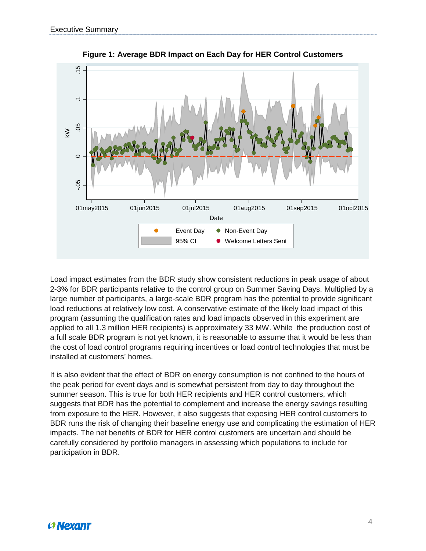

**Figure 1: Average BDR Impact on Each Day for HER Control Customers**

Load impact estimates from the BDR study show consistent reductions in peak usage of about 2-3% for BDR participants relative to the control group on Summer Saving Days. Multiplied by a large number of participants, a large-scale BDR program has the potential to provide significant load reductions at relatively low cost. A conservative estimate of the likely load impact of this program (assuming the qualification rates and load impacts observed in this experiment are applied to all 1.3 million HER recipients) is approximately 33 MW. While the production cost of a full scale BDR program is not yet known, it is reasonable to assume that it would be less than the cost of load control programs requiring incentives or load control technologies that must be installed at customers' homes.

It is also evident that the effect of BDR on energy consumption is not confined to the hours of the peak period for event days and is somewhat persistent from day to day throughout the summer season. This is true for both HER recipients and HER control customers, which suggests that BDR has the potential to complement and increase the energy savings resulting from exposure to the HER. However, it also suggests that exposing HER control customers to BDR runs the risk of changing their baseline energy use and complicating the estimation of HER impacts. The net benefits of BDR for HER control customers are uncertain and should be carefully considered by portfolio managers in assessing which populations to include for participation in BDR.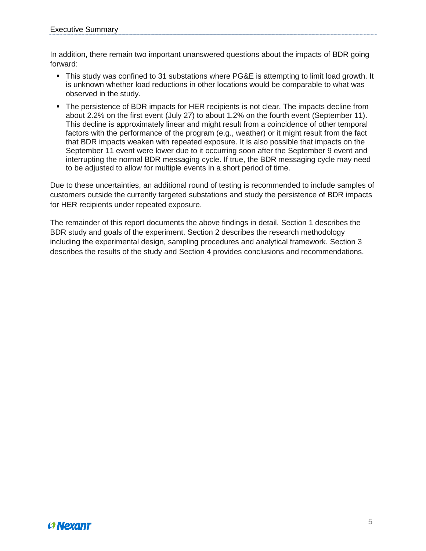In addition, there remain two important unanswered questions about the impacts of BDR going forward:

- This study was confined to 31 substations where PG&E is attempting to limit load growth. It is unknown whether load reductions in other locations would be comparable to what was observed in the study.
- The persistence of BDR impacts for HER recipients is not clear. The impacts decline from about 2.2% on the first event (July 27) to about 1.2% on the fourth event (September 11). This decline is approximately linear and might result from a coincidence of other temporal factors with the performance of the program (e.g., weather) or it might result from the fact that BDR impacts weaken with repeated exposure. It is also possible that impacts on the September 11 event were lower due to it occurring soon after the September 9 event and interrupting the normal BDR messaging cycle. If true, the BDR messaging cycle may need to be adjusted to allow for multiple events in a short period of time.

Due to these uncertainties, an additional round of testing is recommended to include samples of customers outside the currently targeted substations and study the persistence of BDR impacts for HER recipients under repeated exposure.

The remainder of this report documents the above findings in detail. Section 1 describes the BDR study and goals of the experiment. Section 2 describes the research methodology including the experimental design, sampling procedures and analytical framework. Section 3 describes the results of the study and Section 4 provides conclusions and recommendations.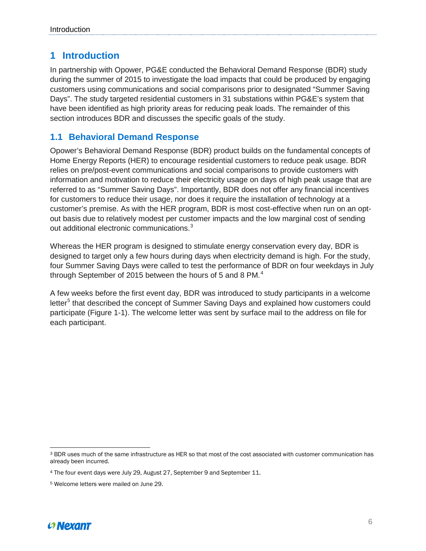#### <span id="page-6-0"></span>**1 Introduction**

In partnership with Opower, PG&E conducted the Behavioral Demand Response (BDR) study during the summer of 2015 to investigate the load impacts that could be produced by engaging customers using communications and social comparisons prior to designated "Summer Saving Days". The study targeted residential customers in 31 substations within PG&E's system that have been identified as high priority areas for reducing peak loads. The remainder of this section introduces BDR and discusses the specific goals of the study.

#### <span id="page-6-1"></span>**1.1 Behavioral Demand Response**

Opower's Behavioral Demand Response (BDR) product builds on the fundamental concepts of Home Energy Reports (HER) to encourage residential customers to reduce peak usage. BDR relies on pre/post-event communications and social comparisons to provide customers with information and motivation to reduce their electricity usage on days of high peak usage that are referred to as "Summer Saving Days". Importantly, BDR does not offer any financial incentives for customers to reduce their usage, nor does it require the installation of technology at a customer's premise. As with the HER program, BDR is most cost-effective when run on an optout basis due to relatively modest per customer impacts and the low marginal cost of sending out additional electronic communications. $3$ 

Whereas the HER program is designed to stimulate energy conservation every day, BDR is designed to target only a few hours during days when electricity demand is high. For the study, four Summer Saving Days were called to test the performance of BDR on four weekdays in July through September of 2015 between the hours of 5 and 8 PM. $^4$  $^4$ 

A few weeks before the first event day, BDR was introduced to study participants in a welcome letter<sup>[5](#page-6-4)</sup> that described the concept of Summer Saving Days and explained how customers could participate [\(Figure 1-1\)](#page-7-0). The welcome letter was sent by surface mail to the address on file for each participant.



<span id="page-6-2"></span> $\overline{a}$ <sup>3</sup> BDR uses much of the same infrastructure as HER so that most of the cost associated with customer communication has already been incurred.

<span id="page-6-3"></span><sup>4</sup> The four event days were July 29, August 27, September 9 and September 11.

<span id="page-6-4"></span><sup>5</sup> Welcome letters were mailed on June 29.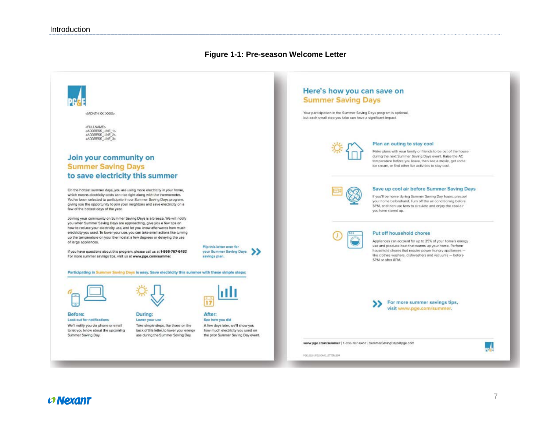#### **Figure 1-1: Pre-season Welcome Letter**

<span id="page-7-0"></span>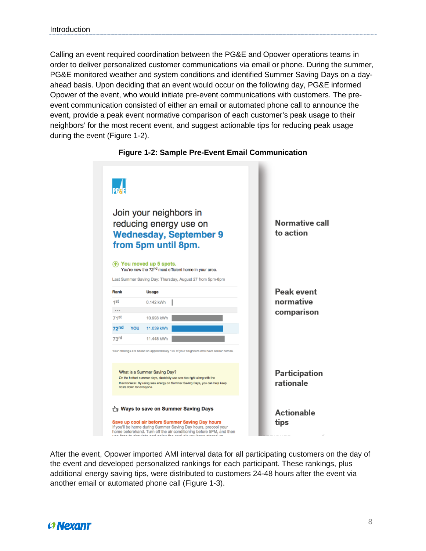Calling an event required coordination between the PG&E and Opower operations teams in order to deliver personalized customer communications via email or phone. During the summer, PG&E monitored weather and system conditions and identified Summer Saving Days on a dayahead basis. Upon deciding that an event would occur on the following day, PG&E informed Opower of the event, who would initiate pre-event communications with customers. The preevent communication consisted of either an email or automated phone call to announce the event, provide a peak event normative comparison of each customer's peak usage to their neighbors' for the most recent event, and suggest actionable tips for reducing peak usage during the event [\(Figure 1-2\)](#page-8-0).

<span id="page-8-0"></span>

#### **Figure 1-2: Sample Pre-Event Email Communication**

After the event, Opower imported AMI interval data for all participating customers on the day of the event and developed personalized rankings for each participant. These rankings, plus additional energy saving tips, were distributed to customers 24-48 hours after the event via another email or automated phone call [\(Figure 1-3\)](#page-9-0).

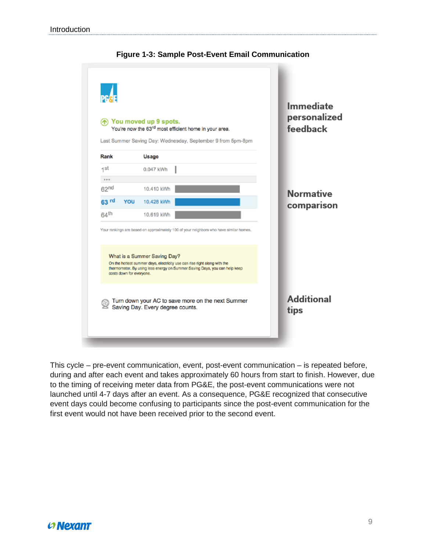<span id="page-9-0"></span>

#### **Figure 1-3: Sample Post-Event Email Communication**

This cycle – pre-event communication, event, post-event communication – is repeated before, during and after each event and takes approximately 60 hours from start to finish. However, due to the timing of receiving meter data from PG&E, the post-event communications were not launched until 4-7 days after an event. As a consequence, PG&E recognized that consecutive event days could become confusing to participants since the post-event communication for the first event would not have been received prior to the second event.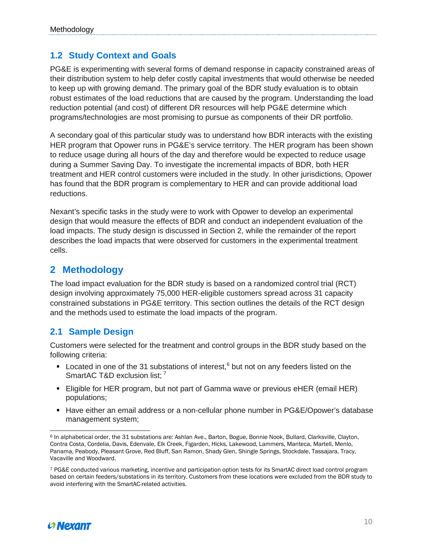#### <span id="page-10-0"></span>**1.2 Study Context and Goals**

PG&E is experimenting with several forms of demand response in capacity constrained areas of their distribution system to help defer costly capital investments that would otherwise be needed to keep up with growing demand. The primary goal of the BDR study evaluation is to obtain robust estimates of the load reductions that are caused by the program. Understanding the load reduction potential (and cost) of different DR resources will help PG&E determine which programs/technologies are most promising to pursue as components of their DR portfolio.

A secondary goal of this particular study was to understand how BDR interacts with the existing HER program that Opower runs in PG&E's service territory. The HER program has been shown to reduce usage during all hours of the day and therefore would be expected to reduce usage during a Summer Saving Day. To investigate the incremental impacts of BDR, both HER treatment and HER control customers were included in the study. In other jurisdictions, Opower has found that the BDR program is complementary to HER and can provide additional load reductions.

Nexant's specific tasks in the study were to work with Opower to develop an experimental design that would measure the effects of BDR and conduct an independent evaluation of the load impacts. The study design is discussed in Section 2, while the remainder of the report describes the load impacts that were observed for customers in the experimental treatment cells.

### <span id="page-10-1"></span>**2 Methodology**

The load impact evaluation for the BDR study is based on a randomized control trial (RCT) design involving approximately 75,000 HER-eligible customers spread across 31 capacity constrained substations in PG&E territory. This section outlines the details of the RCT design and the methods used to estimate the load impacts of the program.

#### <span id="page-10-2"></span>**2.1 Sample Design**

Customers were selected for the treatment and control groups in the BDR study based on the following criteria:

- $\blacksquare$  Located in one of the 31 substations of interest,  $^6$  $^6$  but not on any feeders listed on the SmartAC T&D exclusion list;<sup>[7](#page-10-4)</sup>
- Eligible for HER program, but not part of Gamma wave or previous eHER (email HER) populations;
- **Have either an email address or a non-cellular phone number in PG&E/Opower's database** management system;



<span id="page-10-3"></span><sup>-</sup><sup>6</sup> In alphabetical order, the 31 substations are: Ashlan Ave., Barton, Bogue, Bonnie Nook, Bullard, Clarksville, Clayton, Contra Costa, Cordelia, Davis, Edenvale, Elk Creek, Figarden, Hicks, Lakewood, Lammers, Manteca, Martell, Menlo, Panama, Peabody, Pleasant Grove, Red Bluff, San Ramon, Shady Glen, Shingle Springs, Stockdale, Tassajara, Tracy, Vacaville and Woodward.

<span id="page-10-4"></span><sup>7</sup> PG&E conducted various marketing, incentive and participation option tests for its SmartAC direct load control program based on certain feeders/substations in its territory. Customers from these locations were excluded from the BDR study to avoid interfering with the SmartAC-related activities.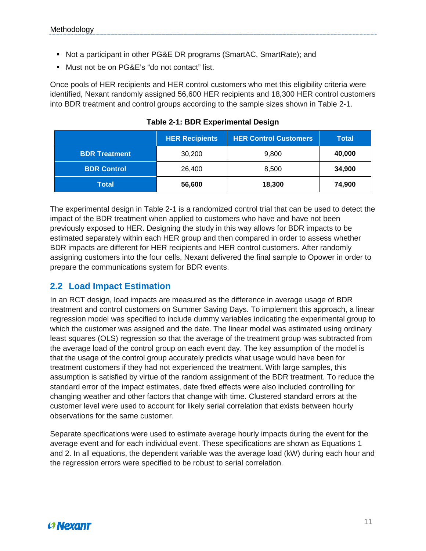- Not a participant in other PG&E DR programs (SmartAC, SmartRate); and
- Must not be on PG&E's "do not contact" list.

Once pools of HER recipients and HER control customers who met this eligibility criteria were identified, Nexant randomly assigned 56,600 HER recipients and 18,300 HER control customers into BDR treatment and control groups according to the sample sizes shown in [Table 2-1.](#page-11-1)

<span id="page-11-1"></span>

|                      | <b>HER Recipients</b> | <b>HER Control Customers</b> | Total  |
|----------------------|-----------------------|------------------------------|--------|
| <b>BDR Treatment</b> | 30,200                | 9,800                        | 40,000 |
| <b>BDR Control</b>   | 26,400                | 8,500                        | 34,900 |
| Total                | 56,600                | 18,300                       | 74,900 |

**Table 2-1: BDR Experimental Design**

The experimental design in Table 2-1 is a randomized control trial that can be used to detect the impact of the BDR treatment when applied to customers who have and have not been previously exposed to HER. Designing the study in this way allows for BDR impacts to be estimated separately within each HER group and then compared in order to assess whether BDR impacts are different for HER recipients and HER control customers. After randomly assigning customers into the four cells, Nexant delivered the final sample to Opower in order to prepare the communications system for BDR events.

#### <span id="page-11-0"></span>**2.2 Load Impact Estimation**

In an RCT design, load impacts are measured as the difference in average usage of BDR treatment and control customers on Summer Saving Days. To implement this approach, a linear regression model was specified to include dummy variables indicating the experimental group to which the customer was assigned and the date. The linear model was estimated using ordinary least squares (OLS) regression so that the average of the treatment group was subtracted from the average load of the control group on each event day. The key assumption of the model is that the usage of the control group accurately predicts what usage would have been for treatment customers if they had not experienced the treatment. With large samples, this assumption is satisfied by virtue of the random assignment of the BDR treatment. To reduce the standard error of the impact estimates, date fixed effects were also included controlling for changing weather and other factors that change with time. Clustered standard errors at the customer level were used to account for likely serial correlation that exists between hourly observations for the same customer.

Separate specifications were used to estimate average hourly impacts during the event for the average event and for each individual event. These specifications are shown as Equations 1 and 2. In all equations, the dependent variable was the average load (kW) during each hour and the regression errors were specified to be robust to serial correlation.

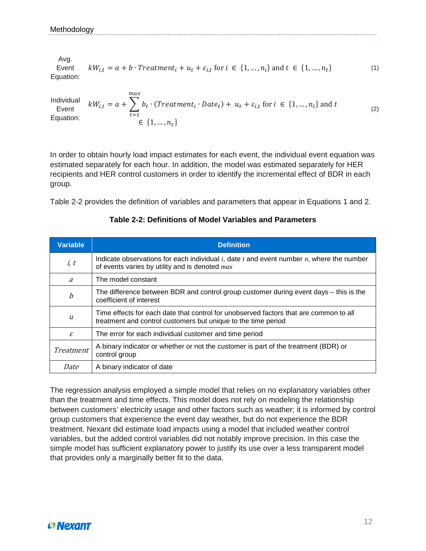Avg. Event Equation:  $kW_{i,t} = a + b \cdot Treatment_i + u_t + \varepsilon_{i,t}$  for  $i \in \{1, ..., n_i\}$  and  $t \in \{1, ..., n_t\}$  (1)

Individual Event Equation:  $kW_{i,t} = a + \sum b_t \cdot (Treatment_i \cdot Date_t)$ max  $t=1$  $+ u_t + \varepsilon_{i,t}$  for  $i \in \{1, ..., n_i\}$  and  $\in \{1, ..., n_{t}\}$ (2)

In order to obtain hourly load impact estimates for each event, the individual event equation was estimated separately for each hour. In addition, the model was estimated separately for HER recipients and HER control customers in order to identify the incremental effect of BDR in each group.

Table 2-2 provides the definition of variables and parameters that appear in Equations 1 and 2.

| <b>Variable</b>             | <b>Definition</b>                                                                                                                                      |
|-----------------------------|--------------------------------------------------------------------------------------------------------------------------------------------------------|
| i, t                        | Indicate observations for each individual $i$ , date $t$ and event number $n$ , where the number<br>of events varies by utility and is denoted $max$   |
| $\overline{a}$              | The model constant                                                                                                                                     |
| $\boldsymbol{b}$            | The difference between BDR and control group customer during event days – this is the<br>coefficient of interest                                       |
| $\mathfrak u$               | Time effects for each date that control for unobserved factors that are common to all<br>treatment and control customers but unique to the time period |
| $\mathcal{E}_{\mathcal{L}}$ | The error for each individual customer and time period                                                                                                 |
| Treatment                   | A binary indicator or whether or not the customer is part of the treatment (BDR) or<br>control group                                                   |
| Date                        | A binary indicator of date                                                                                                                             |

#### **Table 2-2: Definitions of Model Variables and Parameters**

The regression analysis employed a simple model that relies on no explanatory variables other than the treatment and time effects. This model does not rely on modeling the relationship between customers' electricity usage and other factors such as weather; it is informed by control group customers that experience the event day weather, but do not experience the BDR treatment. Nexant did estimate load impacts using a model that included weather control variables, but the added control variables did not notably improve precision. In this case the simple model has sufficient explanatory power to justify its use over a less transparent model that provides only a marginally better fit to the data.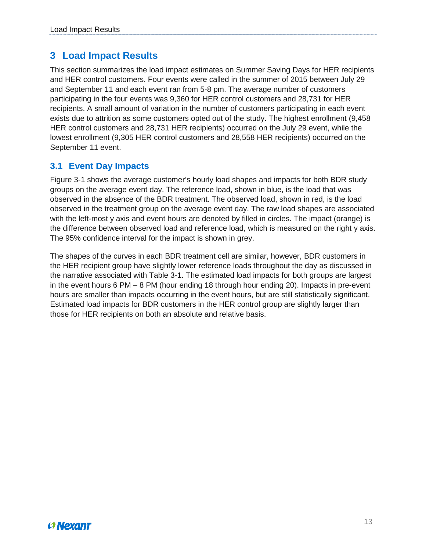## <span id="page-13-0"></span>**3 Load Impact Results**

This section summarizes the load impact estimates on Summer Saving Days for HER recipients and HER control customers. Four events were called in the summer of 2015 between July 29 and September 11 and each event ran from 5-8 pm. The average number of customers participating in the four events was 9,360 for HER control customers and 28,731 for HER recipients. A small amount of variation in the number of customers participating in each event exists due to attrition as some customers opted out of the study. The highest enrollment (9,458 HER control customers and 28,731 HER recipients) occurred on the July 29 event, while the lowest enrollment (9,305 HER control customers and 28,558 HER recipients) occurred on the September 11 event.

#### <span id="page-13-1"></span>**3.1 Event Day Impacts**

Figure 3-1 shows the average customer's hourly load shapes and impacts for both BDR study groups on the average event day. The reference load, shown in blue, is the load that was observed in the absence of the BDR treatment. The observed load, shown in red, is the load observed in the treatment group on the average event day. The raw load shapes are associated with the left-most y axis and event hours are denoted by filled in circles. The impact (orange) is the difference between observed load and reference load, which is measured on the right y axis. The 95% confidence interval for the impact is shown in grey.

The shapes of the curves in each BDR treatment cell are similar, however, BDR customers in the HER recipient group have slightly lower reference loads throughout the day as discussed in the narrative associated with Table 3-1. The estimated load impacts for both groups are largest in the event hours 6 PM – 8 PM (hour ending 18 through hour ending 20). Impacts in pre-event hours are smaller than impacts occurring in the event hours, but are still statistically significant. Estimated load impacts for BDR customers in the HER control group are slightly larger than those for HER recipients on both an absolute and relative basis.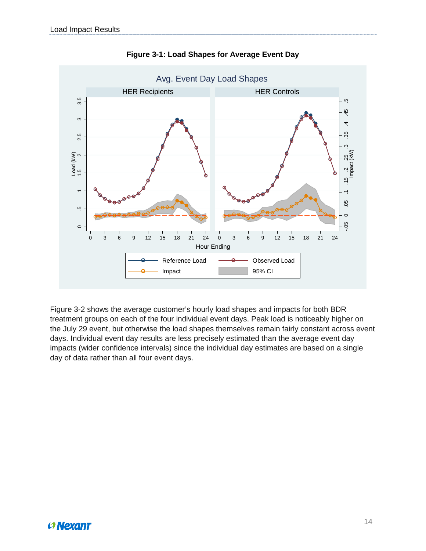

**Figure 3-1: Load Shapes for Average Event Day**

Figure 3-2 shows the average customer's hourly load shapes and impacts for both BDR treatment groups on each of the four individual event days. Peak load is noticeably higher on the July 29 event, but otherwise the load shapes themselves remain fairly constant across event days. Individual event day results are less precisely estimated than the average event day impacts (wider confidence intervals) since the individual day estimates are based on a single day of data rather than all four event days.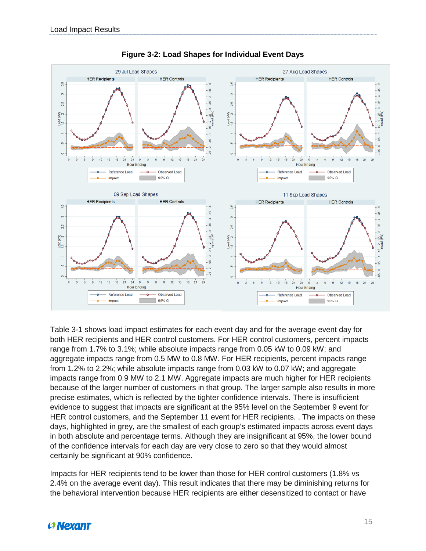

**Figure 3-2: Load Shapes for Individual Event Days**

Table 3-1 shows load impact estimates for each event day and for the average event day for both HER recipients and HER control customers. For HER control customers, percent impacts range from 1.7% to 3.1%; while absolute impacts range from 0.05 kW to 0.09 kW; and aggregate impacts range from 0.5 MW to 0.8 MW. For HER recipients, percent impacts range from 1.2% to 2.2%; while absolute impacts range from 0.03 kW to 0.07 kW; and aggregate impacts range from 0.9 MW to 2.1 MW. Aggregate impacts are much higher for HER recipients because of the larger number of customers in that group. The larger sample also results in more precise estimates, which is reflected by the tighter confidence intervals. There is insufficient evidence to suggest that impacts are significant at the 95% level on the September 9 event for HER control customers, and the September 11 event for HER recipients. . The impacts on these days, highlighted in grey, are the smallest of each group's estimated impacts across event days in both absolute and percentage terms. Although they are insignificant at 95%, the lower bound of the confidence intervals for each day are very close to zero so that they would almost certainly be significant at 90% confidence.

Impacts for HER recipients tend to be lower than those for HER control customers (1.8% vs 2.4% on the average event day). This result indicates that there may be diminishing returns for the behavioral intervention because HER recipients are either desensitized to contact or have

## **Convexant**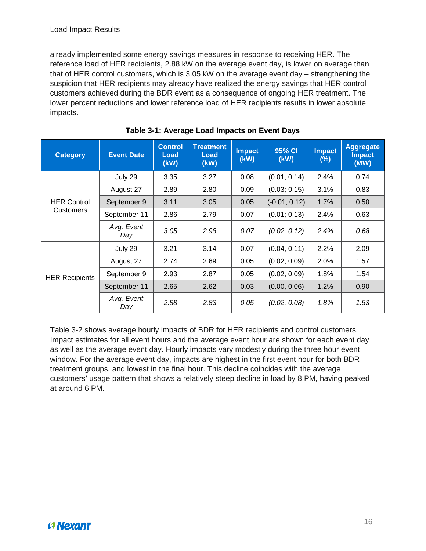already implemented some energy savings measures in response to receiving HER. The reference load of HER recipients, 2.88 kW on the average event day, is lower on average than that of HER control customers, which is 3.05 kW on the average event day – strengthening the suspicion that HER recipients may already have realized the energy savings that HER control customers achieved during the BDR event as a consequence of ongoing HER treatment. The lower percent reductions and lower reference load of HER recipients results in lower absolute impacts.

| <b>Category</b>       | <b>Event Date</b> | <b>Control</b><br>Load<br>(kW) | <b>Treatment</b><br>Load<br>(kW) | <b>Impact</b><br>(kW) | 95% CI<br>(kW)  | <b>Impact</b><br>$(\%)$ | <b>Aggregate</b><br><b>Impact</b><br>(MW) |
|-----------------------|-------------------|--------------------------------|----------------------------------|-----------------------|-----------------|-------------------------|-------------------------------------------|
|                       | July 29           | 3.35                           | 3.27                             | 0.08                  | (0.01; 0.14)    | 2.4%                    | 0.74                                      |
|                       | August 27         | 2.89                           | 2.80                             | 0.09                  | (0.03; 0.15)    | 3.1%                    | 0.83                                      |
| <b>HER Control</b>    | September 9       | 3.11                           | 3.05                             | 0.05                  | $(-0.01; 0.12)$ | 1.7%                    | 0.50                                      |
| <b>Customers</b>      | September 11      | 2.86                           | 2.79                             | 0.07                  | (0.01; 0.13)    | 2.4%                    | 0.63                                      |
|                       | Avg. Event<br>Day | 3.05                           | 2.98                             | 0.07                  | (0.02, 0.12)    | 2.4%                    | 0.68                                      |
|                       | July 29           | 3.21                           | 3.14                             | 0.07                  | (0.04, 0.11)    | 2.2%                    | 2.09                                      |
|                       | August 27         | 2.74                           | 2.69                             | 0.05                  | (0.02, 0.09)    | 2.0%                    | 1.57                                      |
| <b>HER Recipients</b> | September 9       | 2.93                           | 2.87                             | 0.05                  | (0.02, 0.09)    | 1.8%                    | 1.54                                      |
|                       | September 11      | 2.65                           | 2.62                             | 0.03                  | (0.00, 0.06)    | 1.2%                    | 0.90                                      |
|                       | Avg. Event<br>Day | 2.88                           | 2.83                             | 0.05                  | (0.02, 0.08)    | 1.8%                    | 1.53                                      |

**Table 3-1: Average Load Impacts on Event Days**

Table 3-2 shows average hourly impacts of BDR for HER recipients and control customers. Impact estimates for all event hours and the average event hour are shown for each event day as well as the average event day. Hourly impacts vary modestly during the three hour event window. For the average event day, impacts are highest in the first event hour for both BDR treatment groups, and lowest in the final hour. This decline coincides with the average customers' usage pattern that shows a relatively steep decline in load by 8 PM, having peaked at around 6 PM.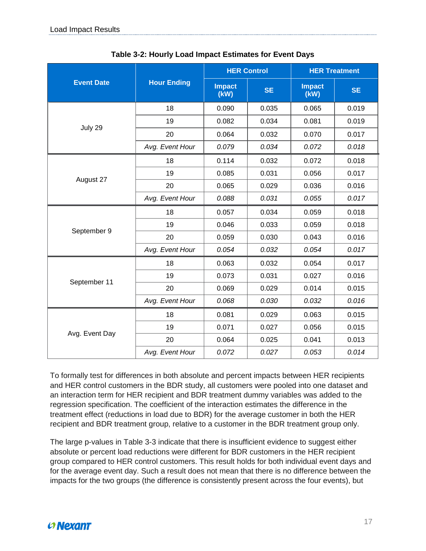|                   |                    |                       | <b>HER Control</b> | <b>HER Treatment</b>  |           |  |
|-------------------|--------------------|-----------------------|--------------------|-----------------------|-----------|--|
| <b>Event Date</b> | <b>Hour Ending</b> | <b>Impact</b><br>(KW) | <b>SE</b>          | <b>Impact</b><br>(KW) | <b>SE</b> |  |
|                   | 18                 | 0.090                 | 0.035              | 0.065                 | 0.019     |  |
|                   | 19                 | 0.082                 | 0.034              | 0.081                 | 0.019     |  |
| July 29           | 20                 | 0.064                 | 0.032              | 0.070                 | 0.017     |  |
|                   | Avg. Event Hour    | 0.079                 | 0.034              | 0.072                 | 0.018     |  |
|                   | 18                 | 0.114                 | 0.032              | 0.072                 | 0.018     |  |
|                   | 19                 | 0.085                 | 0.031              | 0.056                 | 0.017     |  |
| August 27         | 20                 | 0.065                 | 0.029              | 0.036                 | 0.016     |  |
|                   | Avg. Event Hour    | 0.088                 | 0.031              | 0.055                 | 0.017     |  |
|                   | 18                 | 0.057                 | 0.034              | 0.059                 | 0.018     |  |
|                   | 19                 | 0.046                 | 0.033              | 0.059                 | 0.018     |  |
| September 9       | 20                 | 0.059                 | 0.030              | 0.043                 | 0.016     |  |
|                   | Avg. Event Hour    | 0.054                 | 0.032              | 0.054                 | 0.017     |  |
|                   | 18                 | 0.063                 | 0.032              | 0.054                 | 0.017     |  |
|                   | 19                 | 0.073                 | 0.031              | 0.027                 | 0.016     |  |
| September 11      | 20                 | 0.069                 | 0.029              | 0.014                 | 0.015     |  |
|                   | Avg. Event Hour    | 0.068                 | 0.030              | 0.032                 | 0.016     |  |
|                   | 18                 | 0.081                 | 0.029              | 0.063                 | 0.015     |  |
|                   | 19                 | 0.071                 | 0.027              | 0.056                 | 0.015     |  |
| Avg. Event Day    | 20                 | 0.064                 | 0.025              | 0.041                 | 0.013     |  |
|                   | Avg. Event Hour    | 0.072                 | 0.027              | 0.053                 | 0.014     |  |

**Table 3-2: Hourly Load Impact Estimates for Event Days**

To formally test for differences in both absolute and percent impacts between HER recipients and HER control customers in the BDR study, all customers were pooled into one dataset and an interaction term for HER recipient and BDR treatment dummy variables was added to the regression specification. The coefficient of the interaction estimates the difference in the treatment effect (reductions in load due to BDR) for the average customer in both the HER recipient and BDR treatment group, relative to a customer in the BDR treatment group only.

The large p-values in Table 3-3 indicate that there is insufficient evidence to suggest either absolute or percent load reductions were different for BDR customers in the HER recipient group compared to HER control customers. This result holds for both individual event days and for the average event day. Such a result does not mean that there is no difference between the impacts for the two groups (the difference is consistently present across the four events), but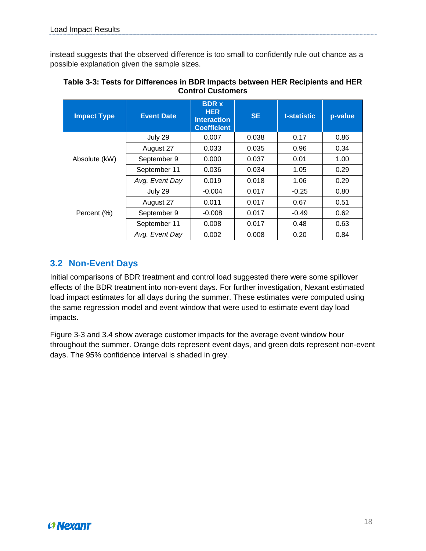instead suggests that the observed difference is too small to confidently rule out chance as a possible explanation given the sample sizes.

| <b>Impact Type</b> | <b>Event Date</b> | <b>BDR x</b><br><b>HER</b><br><b>Interaction</b><br><b>Coefficient</b> | <b>SE</b> | t-statistic | p-value |
|--------------------|-------------------|------------------------------------------------------------------------|-----------|-------------|---------|
|                    | July 29           | 0.007                                                                  | 0.038     | 0.17        | 0.86    |
|                    | August 27         | 0.033                                                                  | 0.035     | 0.96        | 0.34    |
| Absolute (kW)      | September 9       | 0.000                                                                  | 0.037     | 0.01        | 1.00    |
|                    | September 11      | 0.036                                                                  | 0.034     | 1.05        | 0.29    |
|                    | Avg. Event Day    | 0.019                                                                  | 0.018     | 1.06        | 0.29    |
|                    | July 29           | $-0.004$                                                               | 0.017     | $-0.25$     | 0.80    |
|                    | August 27         | 0.011                                                                  | 0.017     | 0.67        | 0.51    |
| Percent (%)        | September 9       |                                                                        | 0.017     | $-0.49$     | 0.62    |
|                    | September 11      | 0.008                                                                  | 0.017     | 0.48        | 0.63    |
|                    | Avg. Event Day    | 0.002                                                                  | 0.008     | 0.20        | 0.84    |

**Table 3-3: Tests for Differences in BDR Impacts between HER Recipients and HER Control Customers**

### <span id="page-18-0"></span>**3.2 Non-Event Days**

Initial comparisons of BDR treatment and control load suggested there were some spillover effects of the BDR treatment into non-event days. For further investigation, Nexant estimated load impact estimates for all days during the summer. These estimates were computed using the same regression model and event window that were used to estimate event day load impacts.

Figure 3-3 and 3.4 show average customer impacts for the average event window hour throughout the summer. Orange dots represent event days, and green dots represent non-event days. The 95% confidence interval is shaded in grey.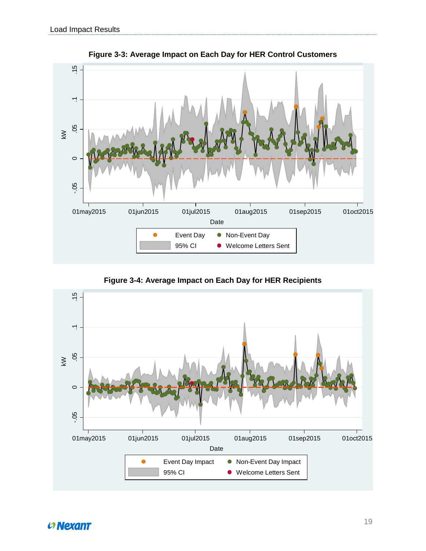

**Figure 3-3: Average Impact on Each Day for HER Control Customers**

Figure 3-4: Average Impact on Each Day for HER Recipients

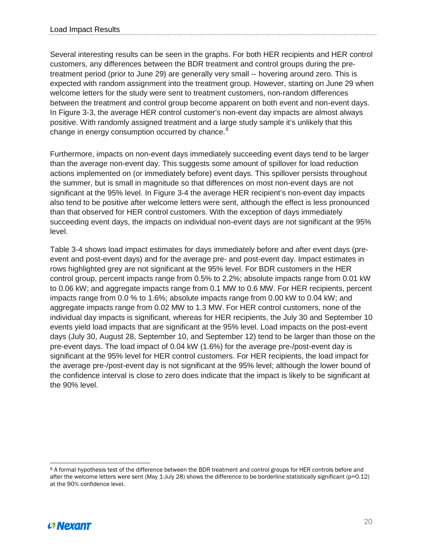Several interesting results can be seen in the graphs. For both HER recipients and HER control customers, any differences between the BDR treatment and control groups during the pretreatment period (prior to June 29) are generally very small -- hovering around zero. This is expected with random assignment into the treatment group. However, starting on June 29 when welcome letters for the study were sent to treatment customers, non-random differences between the treatment and control group become apparent on both event and non-event days. In Figure 3-3, the average HER control customer's non-event day impacts are almost always positive. With randomly assigned treatment and a large study sample it's unlikely that this change in energy consumption occurred by chance.<sup>[8](#page-20-0)</sup>

Furthermore, impacts on non-event days immediately succeeding event days tend to be larger than the average non-event day. This suggests some amount of spillover for load reduction actions implemented on (or immediately before) event days. This spillover persists throughout the summer, but is small in magnitude so that differences on most non-event days are not significant at the 95% level. In Figure 3-4 the average HER recipient's non-event day impacts also tend to be positive after welcome letters were sent, although the effect is less pronounced than that observed for HER control customers. With the exception of days immediately succeeding event days, the impacts on individual non-event days are not significant at the 95% level.

Table 3-4 shows load impact estimates for days immediately before and after event days (preevent and post-event days) and for the average pre- and post-event day. Impact estimates in rows highlighted grey are not significant at the 95% level. For BDR customers in the HER control group, percent impacts range from 0.5% to 2.2%; absolute impacts range from 0.01 kW to 0.06 kW; and aggregate impacts range from 0.1 MW to 0.6 MW. For HER recipients, percent impacts range from 0.0 % to 1.6%; absolute impacts range from 0.00 kW to 0.04 kW; and aggregate impacts range from 0.02 MW to 1.3 MW. For HER control customers, none of the individual day impacts is significant, whereas for HER recipients, the July 30 and September 10 events yield load impacts that are significant at the 95% level. Load impacts on the post-event days (July 30, August 28, September 10, and September 12) tend to be larger than those on the pre-event days. The load impact of 0.04 kW (1.6%) for the average pre-/post-event day is significant at the 95% level for HER control customers. For HER recipients, the load impact for the average pre-/post-event day is not significant at the 95% level; although the lower bound of the confidence interval is close to zero does indicate that the impact is likely to be significant at the 90% level.



<span id="page-20-0"></span> $\overline{a}$ <sup>8</sup> A formal hypothesis test of the difference between the BDR treatment and control groups for HER controls before and after the welcome letters were sent (May 1-July 28) shows the difference to be borderline statistically significant (p=0.12) at the 90% confidence level.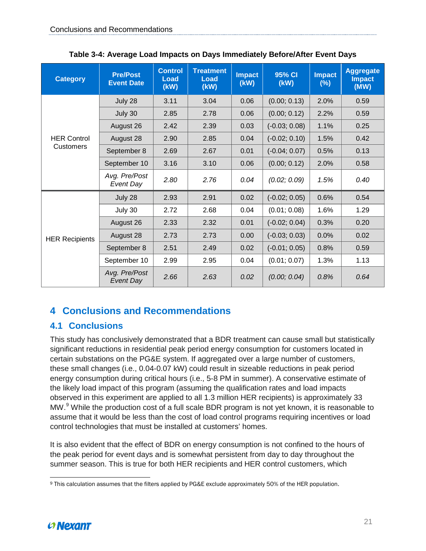| <b>Category</b>       | <b>Pre/Post</b><br><b>Event Date</b> | <b>Control</b><br>Load<br>(KW) | <b>Treatment</b><br>Load<br>(KW) | <b>Impact</b><br>(kW) | 95% CI<br>(kW)  | <b>Impact</b><br>$(\%)$ | <b>Aggregate</b><br><b>Impact</b><br>(MW) |
|-----------------------|--------------------------------------|--------------------------------|----------------------------------|-----------------------|-----------------|-------------------------|-------------------------------------------|
|                       | July 28                              | 3.11                           | 3.04                             | 0.06                  | (0.00; 0.13)    | 2.0%                    | 0.59                                      |
|                       | July 30                              | 2.85                           | 2.78                             | 0.06                  | (0.00; 0.12)    | 2.2%                    | 0.59                                      |
|                       | August 26                            | 2.42                           | 2.39                             | 0.03                  | $(-0.03; 0.08)$ | 1.1%                    | 0.25                                      |
| <b>HER Control</b>    | August 28                            | 2.90                           | 2.85                             | 0.04                  | $(-0.02; 0.10)$ | 1.5%                    | 0.42                                      |
| Customers             | September 8                          | 2.69                           | 2.67                             | 0.01                  | $(-0.04; 0.07)$ | 0.5%                    | 0.13                                      |
|                       | September 10                         | 3.16                           | 3.10                             | 0.06                  | (0.00; 0.12)    | 2.0%                    | 0.58                                      |
|                       | Avg. Pre/Post<br>Event Day           | 2.80                           | 2.76                             | 0.04                  | (0.02; 0.09)    | 1.5%                    | 0.40                                      |
|                       | July 28                              | 2.93                           | 2.91                             | 0.02                  | $(-0.02; 0.05)$ | 0.6%                    | 0.54                                      |
|                       | July 30                              | 2.72                           | 2.68                             | 0.04                  | (0.01; 0.08)    | 1.6%                    | 1.29                                      |
|                       | August 26                            | 2.33                           | 2.32                             | 0.01                  | $(-0.02; 0.04)$ | 0.3%                    | 0.20                                      |
| <b>HER Recipients</b> | August 28                            | 2.73                           | 2.73                             | 0.00                  | $(-0.03; 0.03)$ | 0.0%                    | 0.02                                      |
|                       | September 8                          | 2.51                           | 2.49                             | 0.02                  | $(-0.01; 0.05)$ | 0.8%                    | 0.59                                      |
|                       | September 10                         | 2.99                           | 2.95                             | 0.04                  | (0.01; 0.07)    | 1.3%                    | 1.13                                      |
|                       | Avg. Pre/Post<br><b>Event Day</b>    | 2.66                           | 2.63                             | 0.02                  | (0.00; 0.04)    | 0.8%                    | 0.64                                      |

**Table 3-4: Average Load Impacts on Days Immediately Before/After Event Days**

## <span id="page-21-0"></span>**4 Conclusions and Recommendations**

## <span id="page-21-1"></span>**4.1 Conclusions**

This study has conclusively demonstrated that a BDR treatment can cause small but statistically significant reductions in residential peak period energy consumption for customers located in certain substations on the PG&E system. If aggregated over a large number of customers, these small changes (i.e., 0.04-0.07 kW) could result in sizeable reductions in peak period energy consumption during critical hours (i.e., 5-8 PM in summer). A conservative estimate of the likely load impact of this program (assuming the qualification rates and load impacts observed in this experiment are applied to all 1.3 million HER recipients) is approximately 33 MW.<sup>[9](#page-21-2)</sup> While the production cost of a full scale BDR program is not yet known, it is reasonable to assume that it would be less than the cost of load control programs requiring incentives or load control technologies that must be installed at customers' homes.

It is also evident that the effect of BDR on energy consumption is not confined to the hours of the peak period for event days and is somewhat persistent from day to day throughout the summer season. This is true for both HER recipients and HER control customers, which

<span id="page-21-2"></span> $\overline{a}$  $^{\rm 9}$  This calculation assumes that the filters applied by PG&E exclude approximately 50% of the HER population.